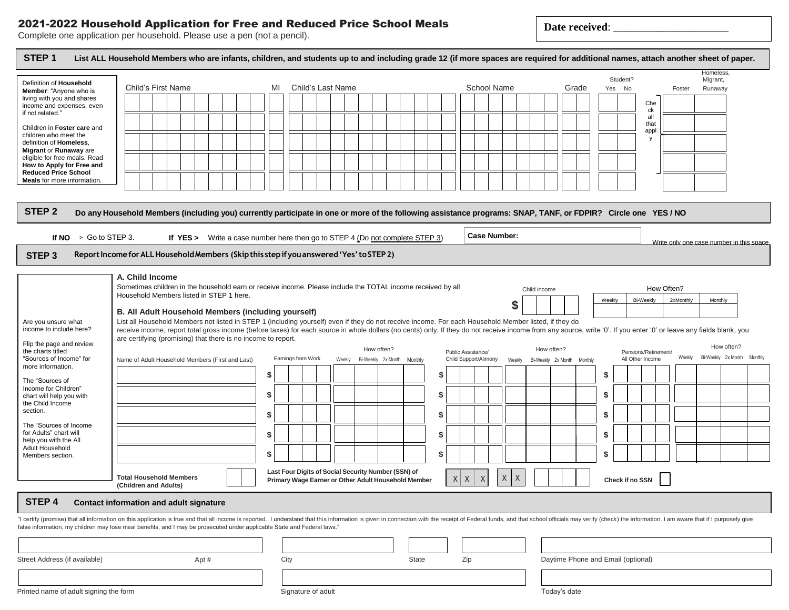## 2021-2022 Household Application for Free and Reduced Price School Meals

**Date received**: \_\_\_\_\_\_\_\_\_\_\_\_\_\_\_\_\_\_\_\_\_

Complete one application per household. Please use a pen (not a pencil).

| Definition of Household<br>Member: "Anyone who is                                                                                                                                                                                                        | Child's First Name                                                                                                                                                                                                                                                                                                                                                            |      |                                                                                |   | MI   |                    |  | Child's Last Name                                   |            |                    |         |    |         |                    | <b>School Name</b>    |        |              |            | Grade                              |        | Student?<br>Yes No |                      | Foster                                    | Homeless<br>Migrant,<br>Runaway |            |
|----------------------------------------------------------------------------------------------------------------------------------------------------------------------------------------------------------------------------------------------------------|-------------------------------------------------------------------------------------------------------------------------------------------------------------------------------------------------------------------------------------------------------------------------------------------------------------------------------------------------------------------------------|------|--------------------------------------------------------------------------------|---|------|--------------------|--|-----------------------------------------------------|------------|--------------------|---------|----|---------|--------------------|-----------------------|--------|--------------|------------|------------------------------------|--------|--------------------|----------------------|-------------------------------------------|---------------------------------|------------|
| living with you and shares<br>income and expenses, even                                                                                                                                                                                                  |                                                                                                                                                                                                                                                                                                                                                                               |      |                                                                                |   |      |                    |  |                                                     |            |                    |         |    |         |                    |                       |        |              |            |                                    |        |                    | Che                  |                                           |                                 |            |
| if not related."                                                                                                                                                                                                                                         |                                                                                                                                                                                                                                                                                                                                                                               |      |                                                                                |   |      |                    |  |                                                     |            |                    |         |    |         |                    |                       |        |              |            |                                    |        |                    | ck<br>all            |                                           |                                 |            |
| Children in Foster care and<br>children who meet the                                                                                                                                                                                                     |                                                                                                                                                                                                                                                                                                                                                                               |      |                                                                                |   |      |                    |  |                                                     |            |                    |         |    |         |                    |                       |        |              |            |                                    |        |                    | that<br>appl         |                                           |                                 |            |
| definition of Homeless.                                                                                                                                                                                                                                  |                                                                                                                                                                                                                                                                                                                                                                               |      |                                                                                |   |      |                    |  |                                                     |            |                    |         |    |         |                    |                       |        |              |            |                                    |        |                    | <b>V</b>             |                                           |                                 |            |
| Migrant or Runaway are<br>eligible for free meals. Read                                                                                                                                                                                                  |                                                                                                                                                                                                                                                                                                                                                                               |      |                                                                                |   |      |                    |  |                                                     |            |                    |         |    |         |                    |                       |        |              |            |                                    |        |                    |                      |                                           |                                 |            |
| How to Apply for Free and<br><b>Reduced Price School</b>                                                                                                                                                                                                 |                                                                                                                                                                                                                                                                                                                                                                               |      |                                                                                |   |      |                    |  |                                                     |            |                    |         |    |         |                    |                       |        |              |            |                                    |        |                    |                      |                                           |                                 |            |
| Meals for more information.                                                                                                                                                                                                                              |                                                                                                                                                                                                                                                                                                                                                                               |      |                                                                                |   |      |                    |  |                                                     |            |                    |         |    |         |                    |                       |        |              |            |                                    |        |                    |                      |                                           |                                 |            |
| STEP <sub>2</sub>                                                                                                                                                                                                                                        | Do any Household Members (including you) currently participate in one or more of the following assistance programs: SNAP, TANF, or FDPIR? Circle one YES / NO                                                                                                                                                                                                                 |      |                                                                                |   |      |                    |  |                                                     |            |                    |         |    |         |                    |                       |        |              |            |                                    |        |                    |                      |                                           |                                 |            |
|                                                                                                                                                                                                                                                          |                                                                                                                                                                                                                                                                                                                                                                               |      |                                                                                |   |      |                    |  |                                                     |            |                    |         |    |         |                    | <b>Case Number:</b>   |        |              |            |                                    |        |                    |                      |                                           |                                 |            |
| If $NO \rightarrow Go$ to STEP 3.                                                                                                                                                                                                                        |                                                                                                                                                                                                                                                                                                                                                                               |      | If $YES >$ Write a case number here then go to STEP 4 (Do not complete STEP 3) |   |      |                    |  |                                                     |            |                    |         |    |         |                    |                       |        |              |            |                                    |        |                    |                      | Write only one case number in this space. |                                 |            |
| STEP <sub>3</sub>                                                                                                                                                                                                                                        | Report Income for ALL Household Members (Skip this step if you answered 'Yes' to STEP 2)                                                                                                                                                                                                                                                                                      |      |                                                                                |   |      |                    |  |                                                     |            |                    |         |    |         |                    |                       |        |              |            |                                    |        |                    |                      |                                           |                                 |            |
|                                                                                                                                                                                                                                                          | A. Child Income                                                                                                                                                                                                                                                                                                                                                               |      |                                                                                |   |      |                    |  |                                                     |            |                    |         |    |         |                    |                       |        |              |            |                                    |        |                    |                      |                                           |                                 |            |
|                                                                                                                                                                                                                                                          | Sometimes children in the household earn or receive income. Please include the TOTAL income received by all                                                                                                                                                                                                                                                                   |      |                                                                                |   |      |                    |  |                                                     |            |                    |         |    |         |                    |                       |        | Child income |            |                                    |        |                    |                      | How Often?                                |                                 |            |
|                                                                                                                                                                                                                                                          | Household Members listed in STEP 1 here.                                                                                                                                                                                                                                                                                                                                      |      |                                                                                |   |      |                    |  |                                                     |            |                    |         |    |         |                    |                       | \$     |              |            |                                    | Weekly |                    | Bi-Weekly            | 2xMonthly                                 | Monthly                         |            |
|                                                                                                                                                                                                                                                          | B. All Adult Household Members (including yourself)                                                                                                                                                                                                                                                                                                                           |      |                                                                                |   |      |                    |  |                                                     |            |                    |         |    |         |                    |                       |        |              |            |                                    |        |                    |                      |                                           |                                 |            |
| Are you unsure what<br>income to include here?                                                                                                                                                                                                           | List all Household Members not listed in STEP 1 (including yourself) even if they do not receive income. For each Household Member listed, if they do<br>receive income, report total gross income (before taxes) for each source in whole dollars (no cents) only. If they do not receive income from any source, write '0'. If you enter '0' or leave any fields blank, you |      |                                                                                |   |      |                    |  |                                                     |            |                    |         |    |         |                    |                       |        |              |            |                                    |        |                    |                      |                                           |                                 |            |
|                                                                                                                                                                                                                                                          | are certifying (promising) that there is no income to report.                                                                                                                                                                                                                                                                                                                 |      |                                                                                |   |      |                    |  |                                                     |            |                    |         |    |         |                    |                       |        |              |            |                                    |        |                    |                      |                                           |                                 |            |
|                                                                                                                                                                                                                                                          |                                                                                                                                                                                                                                                                                                                                                                               |      |                                                                                |   |      |                    |  |                                                     |            |                    |         |    |         |                    |                       |        |              |            |                                    |        |                    |                      |                                           |                                 |            |
|                                                                                                                                                                                                                                                          |                                                                                                                                                                                                                                                                                                                                                                               |      |                                                                                |   |      |                    |  |                                                     | How often? |                    |         |    |         | Public Assistance/ |                       |        |              | How often? |                                    |        |                    | Pensions/Retirement/ |                                           |                                 | How often? |
|                                                                                                                                                                                                                                                          | Name of Adult Household Members (First and Last)                                                                                                                                                                                                                                                                                                                              |      |                                                                                |   |      | Earnings from Work |  | Weekly                                              |            | Bi-Weekly 2x Month | Monthly |    |         |                    | Child Support/Alimony | Weekly |              |            | Bi-Weekly 2x Month Monthly         |        |                    | All Other Income     | Weekly                                    | Bi-Weekly 2x Month              |            |
|                                                                                                                                                                                                                                                          |                                                                                                                                                                                                                                                                                                                                                                               |      |                                                                                |   | \$   |                    |  |                                                     |            |                    |         | \$ |         |                    |                       |        |              |            |                                    | \$     |                    |                      |                                           |                                 |            |
|                                                                                                                                                                                                                                                          |                                                                                                                                                                                                                                                                                                                                                                               |      |                                                                                | S |      |                    |  |                                                     |            |                    |         | \$ |         |                    |                       |        |              |            |                                    | \$     |                    |                      |                                           |                                 |            |
|                                                                                                                                                                                                                                                          |                                                                                                                                                                                                                                                                                                                                                                               |      |                                                                                |   |      |                    |  |                                                     |            |                    |         |    |         |                    |                       |        |              |            |                                    |        |                    |                      |                                           |                                 |            |
|                                                                                                                                                                                                                                                          |                                                                                                                                                                                                                                                                                                                                                                               |      |                                                                                | S |      |                    |  |                                                     |            |                    |         | \$ |         |                    |                       |        |              |            |                                    | \$     |                    |                      |                                           |                                 |            |
| Flip the page and review<br>the charts titled<br>"Sources of Income" for<br>more information.<br>The "Sources of<br>Income for Children"<br>chart will help you with<br>the Child Income<br>section.<br>The "Sources of Income<br>for Adults" chart will |                                                                                                                                                                                                                                                                                                                                                                               |      |                                                                                |   | \$   |                    |  |                                                     |            |                    |         | \$ |         |                    |                       |        |              |            |                                    | \$     |                    |                      |                                           |                                 |            |
|                                                                                                                                                                                                                                                          |                                                                                                                                                                                                                                                                                                                                                                               |      |                                                                                |   |      |                    |  |                                                     |            |                    |         |    |         |                    |                       |        |              |            |                                    |        |                    |                      |                                           |                                 |            |
|                                                                                                                                                                                                                                                          |                                                                                                                                                                                                                                                                                                                                                                               |      |                                                                                |   | \$   |                    |  |                                                     |            |                    |         | S  |         |                    |                       |        |              |            |                                    | \$     |                    |                      |                                           |                                 |            |
| help you with the All<br>Adult Household<br>Members section.                                                                                                                                                                                             |                                                                                                                                                                                                                                                                                                                                                                               |      |                                                                                |   |      |                    |  | Last Four Digits of Social Security Number (SSN) of |            |                    |         |    |         |                    |                       |        |              |            |                                    |        |                    |                      |                                           |                                 |            |
|                                                                                                                                                                                                                                                          | <b>Total Household Members</b><br>(Children and Adults)                                                                                                                                                                                                                                                                                                                       |      |                                                                                |   |      |                    |  | Primary Wage Earner or Other Adult Household Member |            |                    |         |    | $X$ $X$ |                    | X                     | X<br>X |              |            |                                    |        |                    | Check if no SSN      |                                           |                                 |            |
|                                                                                                                                                                                                                                                          |                                                                                                                                                                                                                                                                                                                                                                               |      |                                                                                |   |      |                    |  |                                                     |            |                    |         |    |         |                    |                       |        |              |            |                                    |        |                    |                      |                                           |                                 |            |
|                                                                                                                                                                                                                                                          | <b>Contact information and adult signature</b>                                                                                                                                                                                                                                                                                                                                |      |                                                                                |   |      |                    |  |                                                     |            |                    |         |    |         |                    |                       |        |              |            |                                    |        |                    |                      |                                           |                                 |            |
| STEP 4<br>"I certify (promise) that all information on this application is true and that all income is reported. I understand that this information is given in connection with the receipt of Federal funds, and that school officials                  |                                                                                                                                                                                                                                                                                                                                                                               |      |                                                                                |   |      |                    |  |                                                     |            |                    |         |    |         |                    |                       |        |              |            |                                    |        |                    |                      |                                           |                                 |            |
|                                                                                                                                                                                                                                                          |                                                                                                                                                                                                                                                                                                                                                                               |      |                                                                                |   |      |                    |  |                                                     |            |                    |         |    |         |                    |                       |        |              |            |                                    |        |                    |                      |                                           |                                 |            |
|                                                                                                                                                                                                                                                          |                                                                                                                                                                                                                                                                                                                                                                               |      |                                                                                |   |      |                    |  |                                                     |            |                    |         |    |         |                    |                       |        |              |            |                                    |        |                    |                      |                                           |                                 |            |
| false information, my children may lose meal benefits, and I may be prosecuted under applicable State and Federal laws."<br>Street Address (if available)                                                                                                |                                                                                                                                                                                                                                                                                                                                                                               | Apt# |                                                                                |   | City |                    |  |                                                     |            |                    | State   |    |         | Zip                |                       |        |              |            | Daytime Phone and Email (optional) |        |                    |                      |                                           |                                 |            |